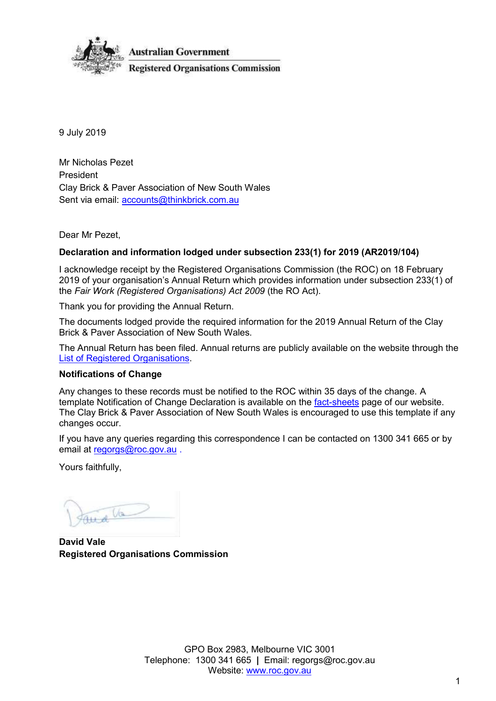

9 July 2019

Mr Nicholas Pezet President Clay Brick & Paver Association of New South Wales Sent via email: [accounts@thinkbrick.com.au](mailto:accounts@thinkbrick.com.au)

Dear Mr Pezet,

#### **Declaration and information lodged under subsection 233(1) for 2019 (AR2019/104)**

I acknowledge receipt by the Registered Organisations Commission (the ROC) on 18 February 2019 of your organisation's Annual Return which provides information under subsection 233(1) of the *Fair Work (Registered Organisations) Act 2009* (the RO Act).

Thank you for providing the Annual Return.

The documents lodged provide the required information for the 2019 Annual Return of the Clay Brick & Paver Association of New South Wales.

The Annual Return has been filed. Annual returns are publicly available on the website through the [List of Registered Organisations.](https://www.roc.gov.au/find-a-registered-organisation)

#### **Notifications of Change**

Any changes to these records must be notified to the ROC within 35 days of the change. A template Notification of Change Declaration is available on the [fact-sheets](https://www.roc.gov.au/resources-and-decisions/fact-sheets-templates-and-webinars) page of our website. The Clay Brick & Paver Association of New South Wales is encouraged to use this template if any changes occur.

If you have any queries regarding this correspondence I can be contacted on 1300 341 665 or by email at [regorgs@roc.gov.au](mailto:regorgs@roc.gov.au).

Yours faithfully,

Va

**David Vale Registered Organisations Commission**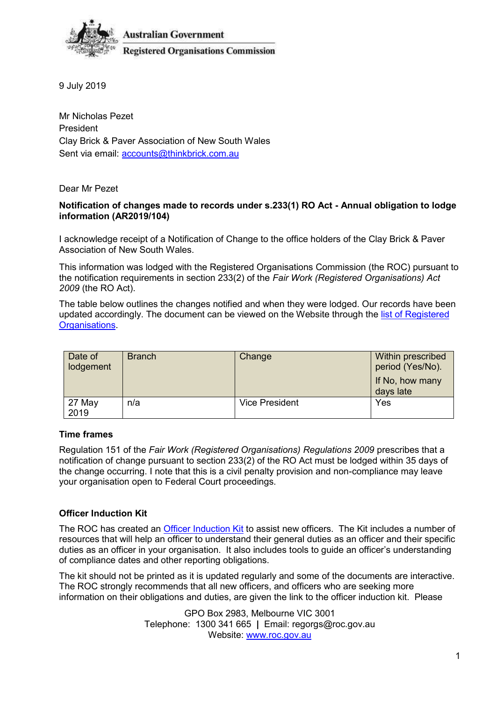

**Australian Government Registered Organisations Commission** 

9 July 2019

Mr Nicholas Pezet President Clay Brick & Paver Association of New South Wales Sent via email: [accounts@thinkbrick.com.au](mailto:accounts@thinkbrick.com.au)

Dear Mr Pezet

#### **Notification of changes made to records under s.233(1) RO Act - Annual obligation to lodge information (AR2019/104)**

I acknowledge receipt of a Notification of Change to the office holders of the Clay Brick & Paver Association of New South Wales.

This information was lodged with the Registered Organisations Commission (the ROC) pursuant to the notification requirements in section 233(2) of the *Fair Work (Registered Organisations) Act 2009* (the RO Act).

The table below outlines the changes notified and when they were lodged. Our records have been updated accordingly. The document can be viewed on the Website through the [list of Registered](https://www.roc.gov.au/find-a-registered-organisation)  [Organisations.](https://www.roc.gov.au/find-a-registered-organisation)

| Date of<br>lodgement | <b>Branch</b> | Change         | Within prescribed<br>period (Yes/No).<br>If No, how many<br>days late |
|----------------------|---------------|----------------|-----------------------------------------------------------------------|
| 27 May<br>2019       | n/a           | Vice President | Yes                                                                   |

# **Time frames**

Regulation 151 of the *Fair Work (Registered Organisations) Regulations 2009* prescribes that a notification of change pursuant to section 233(2) of the RO Act must be lodged within 35 days of the change occurring. I note that this is a civil penalty provision and non-compliance may leave your organisation open to Federal Court proceedings.

# **Officer Induction Kit**

The ROC has created an [Officer Induction Kit](https://www.roc.gov.au/ArticleDocuments/429/gn006_officer_induction_kit.docx.aspx) to assist new officers. The Kit includes a number of resources that will help an officer to understand their general duties as an officer and their specific duties as an officer in your organisation. It also includes tools to guide an officer's understanding of compliance dates and other reporting obligations.

The kit should not be printed as it is updated regularly and some of the documents are interactive. The ROC strongly recommends that all new officers, and officers who are seeking more information on their obligations and duties, are given the link to the officer induction kit. Please

> GPO Box 2983, Melbourne VIC 3001 Telephone: 1300 341 665 **|** Email: regorgs@roc.gov.au Website: [www.roc.gov.au](https://www.roc.gov.au/)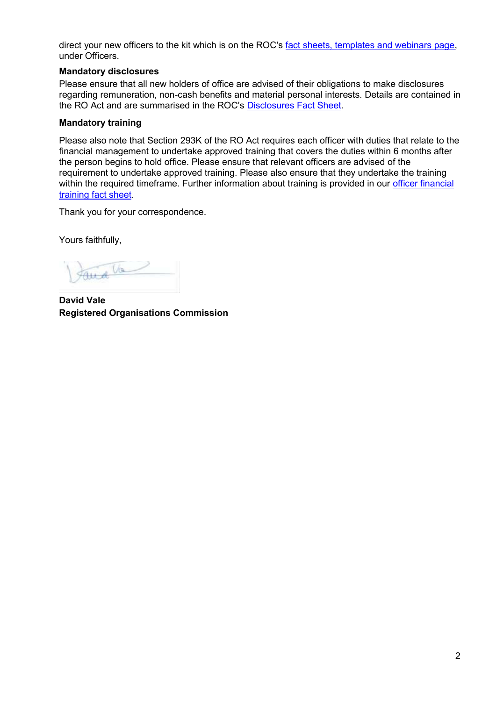direct your new officers to the kit which is on the ROC's [fact sheets, templates and webinars page,](https://www.roc.gov.au/resources-and-decisions/fact-sheets-templates-and-webinars) under Officers.

### **Mandatory disclosures**

Please ensure that all new holders of office are advised of their obligations to make disclosures regarding remuneration, non-cash benefits and material personal interests. Details are contained in the RO Act and are summarised in the ROC's [Disclosures Fact Sheet.](https://www.roc.gov.au/resources-and-decisions/fact-sheets-templates-and-webinars)

### **Mandatory training**

Please also note that Section 293K of the RO Act requires each officer with duties that relate to the financial management to undertake approved training that covers the duties within 6 months after the person begins to hold office. Please ensure that relevant officers are advised of the requirement to undertake approved training. Please also ensure that they undertake the training within the required timeframe. Further information about training is provided in our officer financial [training fact sheet.](https://www.roc.gov.au/ArticleDocuments/429/fs025-officer-financial-training.pdf.aspx)

Thank you for your correspondence.

Yours faithfully,

and Va

**David Vale Registered Organisations Commission**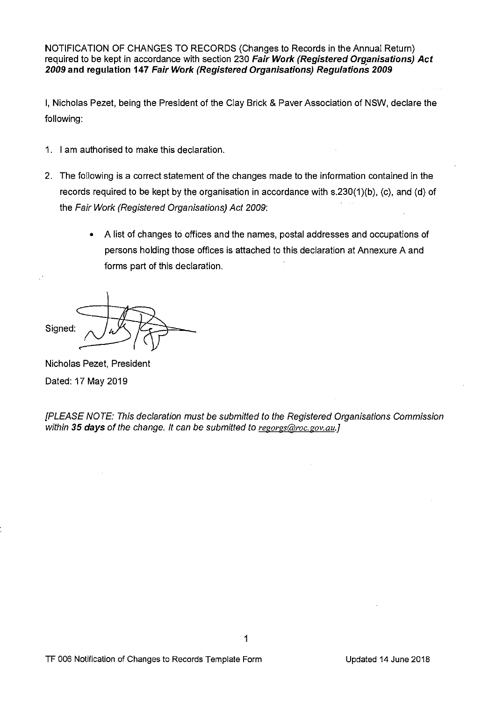NOTIFICATION OF CHANGES TO RECORDS (Changes to Records in the Annual Return) required to be kept in accordance with section 230 *Fair Work (Registered Organisations) Act 2009* **and regulation 147** *Fair Work (Registered Organisations) Regulations 2009* 

I, Nicholas Pezet, being the President of the Clay Brick & Paver Association of NSW, declare the following:

- 1. I am authorised to make this declaration.
- 2. The following is a correct statement of the changes made to the information contained in the records required to be kept by the organisation in accordance with s.230(1)(b), (c), and (d) of the *Fair Work (Registered Organisations) Act* 2009:
	- A list of changes to offices and the names, postal addresses and occupations of persons holding those offices is attached to this declaration at Annexure A and forms part of this declaration.

Signed:

Nicholas Pezet, President Dated: 17 May 2019

*[PLEASE NOTE: This declaration must be submitted to the Registered Organisations Commission within 35 days of the change. It can be submitted to regorgs@roc.gov.au.]*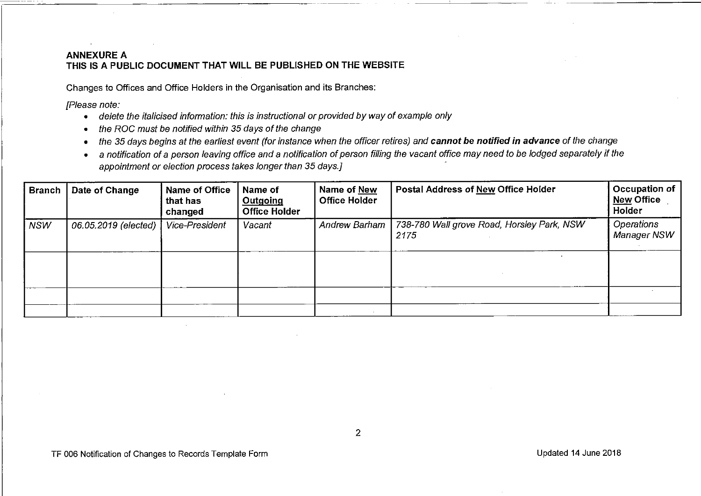### **ANNEXURE A THIS IS A PUBLIC DOCUMENT THAT WILL BE PUBLISHED ON THE WEBSITE**

Changes to Offices and Office Holders in the Organisation and its Branches:

*[Please note:* 

- *delete the italicised information: this is instructional or provided by way of example only*
- *the ROG must be notified within 35 days of the change*
- the 35 days begins at the earliest event (for instance when the officer retires) and **cannot be notified in advance** of the change
- a *notification of* a *person leaving office and* a *notification of person filling the vacant office may need to be lodged separately if the appointment or election process takes longer than 35 days.]*

| Branch     | Date of Change       | Name of Office<br>that has<br>changed | Name of<br>Outgoing<br><b>Office Holder</b> | Name of New<br><b>Office Holder</b> | <b>Postal Address of New Office Holder</b>         | Occupation of<br><b>New Office</b><br>Holder |
|------------|----------------------|---------------------------------------|---------------------------------------------|-------------------------------------|----------------------------------------------------|----------------------------------------------|
| <b>NSW</b> | 06.05.2019 (elected) | Vice-President                        | Vacant                                      | Andrew Barham                       | 738-780 Wall grove Road, Horsley Park, NSW<br>2175 | Operations<br><b>Manager NSW</b>             |
|            |                      |                                       |                                             |                                     |                                                    |                                              |
|            |                      |                                       |                                             |                                     |                                                    |                                              |
|            |                      |                                       |                                             |                                     |                                                    |                                              |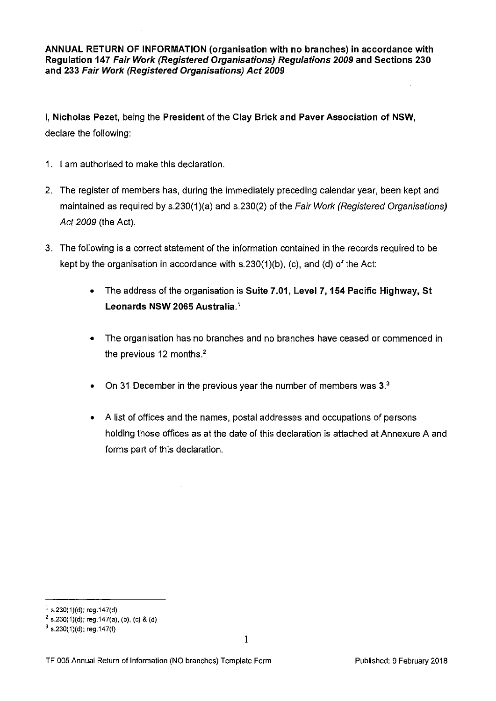**ANNUAL RETURN OF INFORMATION (organisation with no branches) in accordance with Regulation 147** *Fair Work (Registered Organisations) Regulations 2009* **and Sections 230 and 233** *Fair Work (Registered Organisations) Act 2009* 

I, **Nicholas Pezet,** being the **President** of the **Clay Brick and Paver Association of NSW,**  declare the following:

- 1. I am authorised to make this declaration.
- 2. The register of members has, during the immediately preceding calendar year, been kept and maintained as required by s.230(1 )(a) and s.230(2) of the *Fair Work (Registered Organisations) Act 2009* (the Act).
- 3. The following is a correct statement of the information contained in the records required to be kept by the organisation in accordance with  $s.230(1)(b)$ , (c), and (d) of the Act;
	- The address of the organisation is **Suite 7.01, Level 7, 154 Pacific Highway, St Leonards NSW 2065 Australia. <sup>1</sup>**
	- The organisation has no branches and no branches have ceased or commenced in the previous 12 months.<sup>2</sup>
	- On 31 December in the previous year the number of members was **3.<sup>3</sup>**
	- A list of offices and the names, postal addresses and occupations of persons holding those offices as at the date of this declaration is attached at Annexure A and forms part of this declaration.

 $1$  s.230(1)(d); reg.147(d)

 $2$  s.230(1)(d); reg.147(a), (b), (c) & (d)

 $3$  s.230(1)(d); reg.147(f)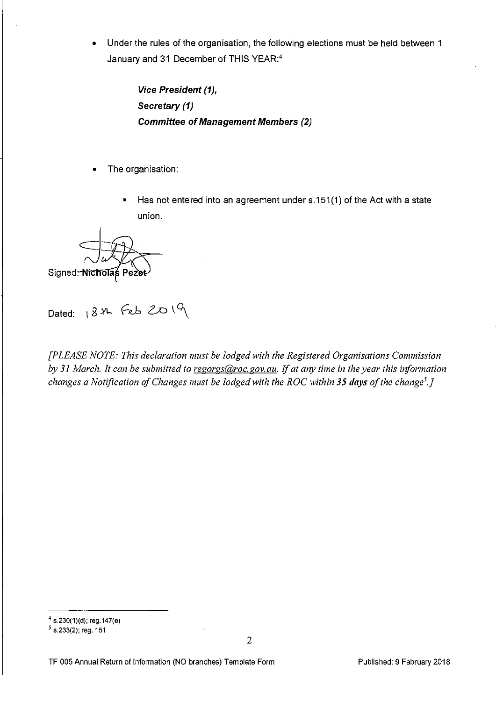• Under the rules of the organisation, the following elections must be held between 1 January and 31 December of THIS YEAR:4

> *Vice President (1), Secretary (1) Committee* **of** *Management Members (2)*

- The organisation:
	- Has not entered into an agreement under s.151(1) of the Act with a state union.

Signed: Nicholas Pezet

 $Dated: 184.$  Feb  $2019$ 

*[PLEASE NOTE: This declaration must be lodged with the Registered Organisations Commission by 31 March. It can be submitted to regorgs@roc.gov.au. If at any time in the year this information changes a Notification of Changes must be lodged with the ROC within 35 days of the change<sup>5</sup> .J* 

 $4$  s.230(1)(d); reg.147(e)

*<sup>5</sup>*s.233(2); reg. 151

TF 005 Annual Return of Information (NO branches) Template Form Published: 9 February 2018